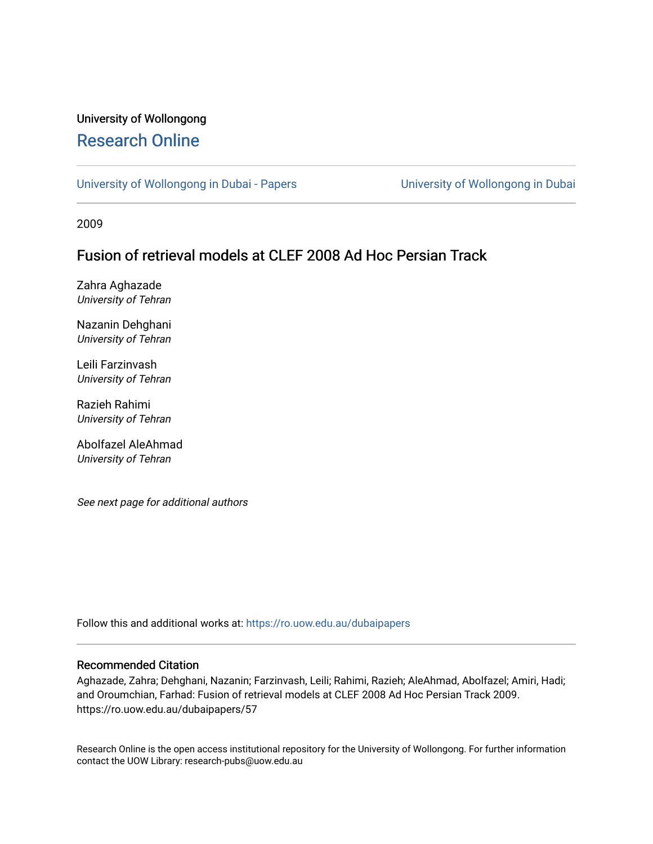# University of Wollongong [Research Online](https://ro.uow.edu.au/)

[University of Wollongong in Dubai - Papers](https://ro.uow.edu.au/dubaipapers) **University of Wollongong in Dubai** 

2009

# Fusion of retrieval models at CLEF 2008 Ad Hoc Persian Track

Zahra Aghazade University of Tehran

Nazanin Dehghani University of Tehran

Leili Farzinvash University of Tehran

Razieh Rahimi University of Tehran

Abolfazel AleAhmad University of Tehran

See next page for additional authors

Follow this and additional works at: [https://ro.uow.edu.au/dubaipapers](https://ro.uow.edu.au/dubaipapers?utm_source=ro.uow.edu.au%2Fdubaipapers%2F57&utm_medium=PDF&utm_campaign=PDFCoverPages) 

# Recommended Citation

Aghazade, Zahra; Dehghani, Nazanin; Farzinvash, Leili; Rahimi, Razieh; AleAhmad, Abolfazel; Amiri, Hadi; and Oroumchian, Farhad: Fusion of retrieval models at CLEF 2008 Ad Hoc Persian Track 2009. https://ro.uow.edu.au/dubaipapers/57

Research Online is the open access institutional repository for the University of Wollongong. For further information contact the UOW Library: research-pubs@uow.edu.au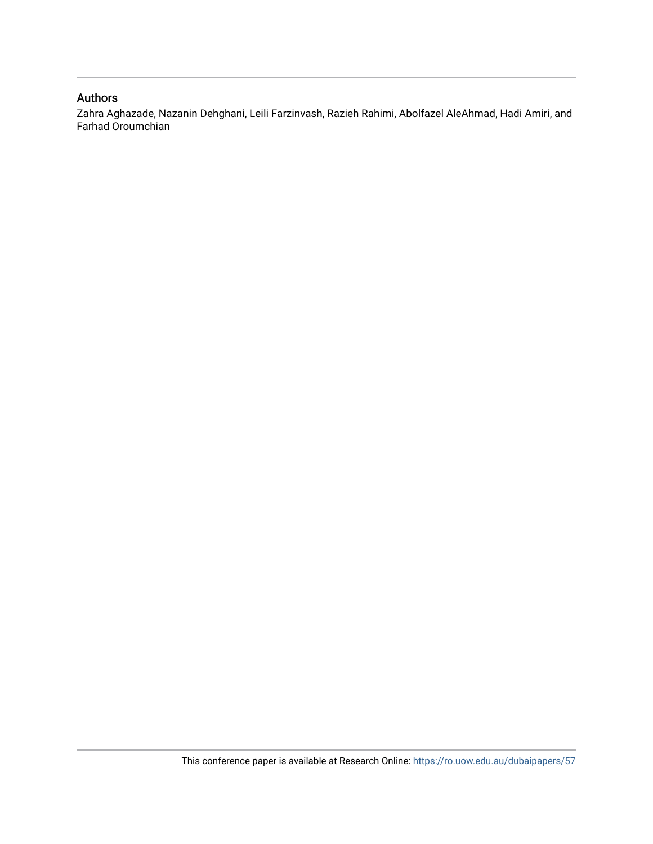# Authors

Zahra Aghazade, Nazanin Dehghani, Leili Farzinvash, Razieh Rahimi, Abolfazel AleAhmad, Hadi Amiri, and Farhad Oroumchian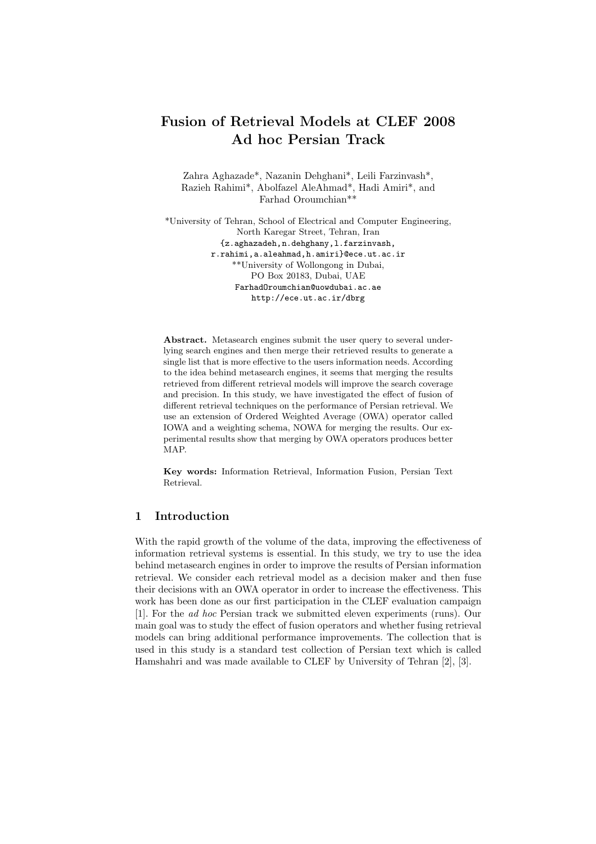# Fusion of Retrieval Models at CLEF 2008 Ad hoc Persian Track

Zahra Aghazade\*, Nazanin Dehghani\*, Leili Farzinvash\*, Razieh Rahimi\*, Abolfazel AleAhmad\*, Hadi Amiri\*, and Farhad Oroumchian\*\*

\*University of Tehran, School of Electrical and Computer Engineering, North Karegar Street, Tehran, Iran {z.aghazadeh,n.dehghany,l.farzinvash, r.rahimi,a.aleahmad,h.amiri}@ece.ut.ac.ir \*\*University of Wollongong in Dubai, PO Box 20183, Dubai, UAE FarhadOroumchian@uowdubai.ac.ae http://ece.ut.ac.ir/dbrg

Abstract. Metasearch engines submit the user query to several underlying search engines and then merge their retrieved results to generate a single list that is more effective to the users information needs. According to the idea behind metasearch engines, it seems that merging the results retrieved from different retrieval models will improve the search coverage and precision. In this study, we have investigated the effect of fusion of different retrieval techniques on the performance of Persian retrieval. We use an extension of Ordered Weighted Average (OWA) operator called IOWA and a weighting schema, NOWA for merging the results. Our experimental results show that merging by OWA operators produces better MAP.

Key words: Information Retrieval, Information Fusion, Persian Text Retrieval.

## 1 Introduction

With the rapid growth of the volume of the data, improving the effectiveness of information retrieval systems is essential. In this study, we try to use the idea behind metasearch engines in order to improve the results of Persian information retrieval. We consider each retrieval model as a decision maker and then fuse their decisions with an OWA operator in order to increase the effectiveness. This work has been done as our first participation in the CLEF evaluation campaign [1]. For the ad hoc Persian track we submitted eleven experiments (runs). Our main goal was to study the effect of fusion operators and whether fusing retrieval models can bring additional performance improvements. The collection that is used in this study is a standard test collection of Persian text which is called Hamshahri and was made available to CLEF by University of Tehran [2], [3].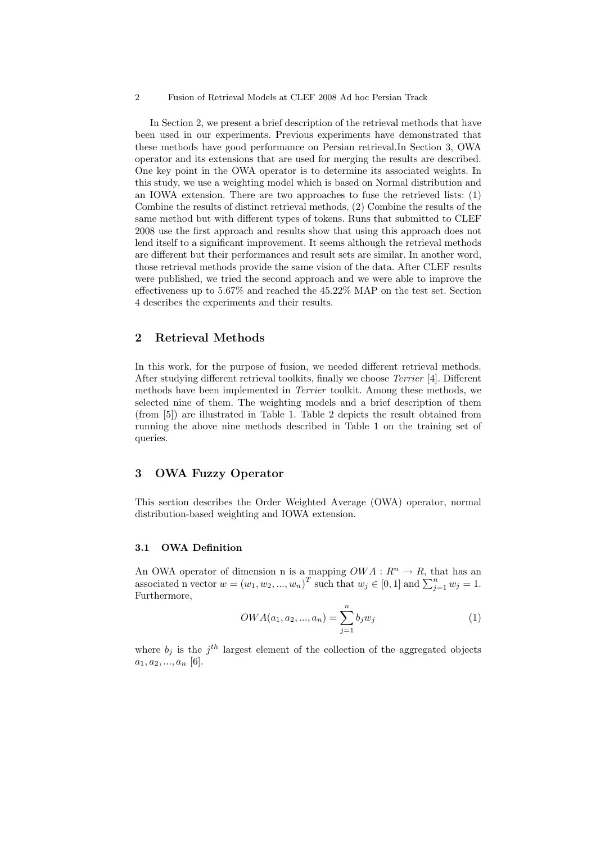2 Fusion of Retrieval Models at CLEF 2008 Ad hoc Persian Track

In Section 2, we present a brief description of the retrieval methods that have been used in our experiments. Previous experiments have demonstrated that these methods have good performance on Persian retrieval.In Section 3, OWA operator and its extensions that are used for merging the results are described. One key point in the OWA operator is to determine its associated weights. In this study, we use a weighting model which is based on Normal distribution and an IOWA extension. There are two approaches to fuse the retrieved lists: (1) Combine the results of distinct retrieval methods, (2) Combine the results of the same method but with different types of tokens. Runs that submitted to CLEF 2008 use the first approach and results show that using this approach does not lend itself to a significant improvement. It seems although the retrieval methods are different but their performances and result sets are similar. In another word, those retrieval methods provide the same vision of the data. After CLEF results were published, we tried the second approach and we were able to improve the effectiveness up to 5.67% and reached the 45.22% MAP on the test set. Section 4 describes the experiments and their results.

## 2 Retrieval Methods

In this work, for the purpose of fusion, we needed different retrieval methods. After studying different retrieval toolkits, finally we choose Terrier [4]. Different methods have been implemented in *Terrier* toolkit. Among these methods, we selected nine of them. The weighting models and a brief description of them (from [5]) are illustrated in Table 1. Table 2 depicts the result obtained from running the above nine methods described in Table 1 on the training set of queries.

## 3 OWA Fuzzy Operator

This section describes the Order Weighted Average (OWA) operator, normal distribution-based weighting and IOWA extension.

#### 3.1 OWA Definition

An OWA operator of dimension n is a mapping  $OWA : R^n \to R$ , that has an An OwA operator of dimension it is a mapping  $OWA: K^{\sim} \to K$ , that has an associated n vector  $w = (w_1, w_2, ..., w_n)^T$  such that  $w_j \in [0, 1]$  and  $\sum_{j=1}^n w_j = 1$ . Furthermore,

$$
OWA(a_1, a_2, ..., a_n) = \sum_{j=1}^{n} b_j w_j
$$
\n(1)

where  $b_j$  is the  $j<sup>th</sup>$  largest element of the collection of the aggregated objects  $a_1, a_2, ..., a_n$  [6].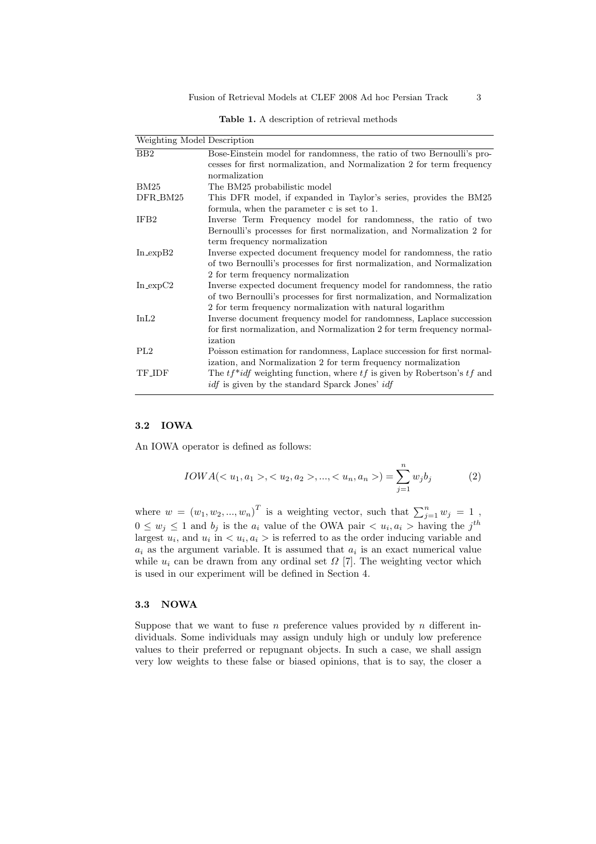| Weighting Model Description |                                                                               |
|-----------------------------|-------------------------------------------------------------------------------|
| BB2                         | Bose-Einstein model for randomness, the ratio of two Bernoulli's pro-         |
|                             | cesses for first normalization, and Normalization 2 for term frequency        |
|                             | normalization                                                                 |
| BM25                        | The BM25 probabilistic model                                                  |
| DFR_BM25                    | This DFR model, if expanded in Taylor's series, provides the BM25             |
|                             | formula, when the parameter c is set to 1.                                    |
| IFB <sub>2</sub>            | Inverse Term Frequency model for randomness, the ratio of two                 |
|                             | Bernoulli's processes for first normalization, and Normalization 2 for        |
|                             | term frequency normalization                                                  |
| $In\_expB2$                 | Inverse expected document frequency model for randomness, the ratio           |
|                             | of two Bernoulli's processes for first normalization, and Normalization       |
|                             | 2 for term frequency normalization                                            |
| $In\_expC2$                 | Inverse expected document frequency model for randomness, the ratio           |
|                             | of two Bernoulli's processes for first normalization, and Normalization       |
|                             | 2 for term frequency normalization with natural logarithm                     |
| InL2                        | Inverse document frequency model for randomness, Laplace succession           |
|                             | for first normalization, and Normalization 2 for term frequency normal-       |
|                             | ization                                                                       |
| PL2                         | Poisson estimation for randomness, Laplace succession for first normal-       |
|                             | ization, and Normalization 2 for term frequency normalization                 |
| TF <sub>-IDF</sub>          | The $tf^*idf$ weighting function, where $tf$ is given by Robertson's $tf$ and |
|                             | <i>idf</i> is given by the standard Sparck Jones' <i>idf</i>                  |

Table 1. A description of retrieval methods

### 3.2 IOWA

An IOWA operator is defined as follows:

$$
IOWA(, , ..., ) = \sum_{j=1}^{n} w_j b_j
$$
 (2)

where  $w = (w_1, w_2, ..., w_n)^T$  is a weighting vector, such that  $\sum_{j=1}^n w_j = 1$ ,  $0 \leq w_j \leq 1$  and  $b_j$  is the  $a_i$  value of the OWA pair  $\langle u_i, a_i \rangle$  having the  $j^{th}$ largest  $u_i$ , and  $u_i$  in  $\langle u_i, a_i \rangle$  is referred to as the order inducing variable and  $a_i$  as the argument variable. It is assumed that  $a_i$  is an exact numerical value while  $u_i$  can be drawn from any ordinal set  $\Omega$  [7]. The weighting vector which is used in our experiment will be defined in Section 4.

#### 3.3 NOWA

Suppose that we want to fuse  $n$  preference values provided by  $n$  different individuals. Some individuals may assign unduly high or unduly low preference values to their preferred or repugnant objects. In such a case, we shall assign very low weights to these false or biased opinions, that is to say, the closer a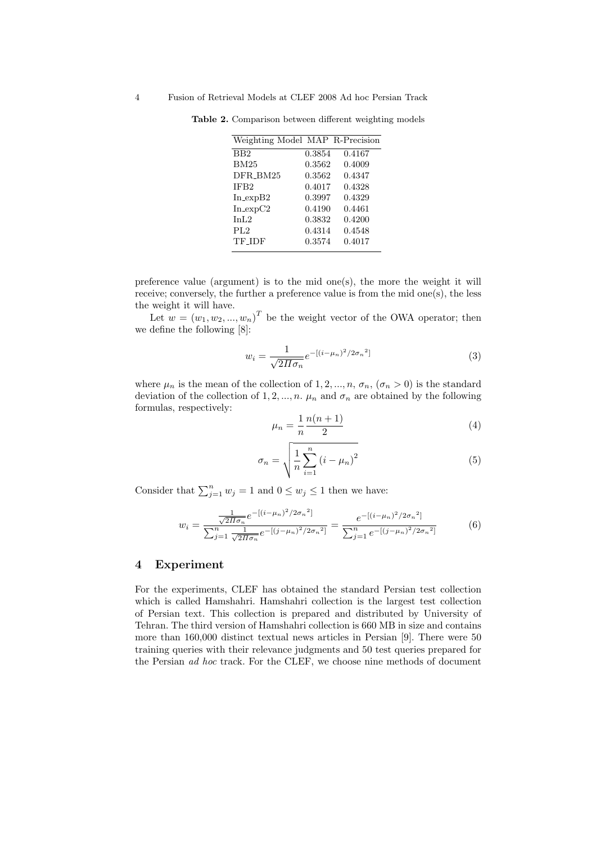#### 4 Fusion of Retrieval Models at CLEF 2008 Ad hoc Persian Track

| Weighting Model MAP R-Precision |        |        |
|---------------------------------|--------|--------|
| B <sub>B2</sub>                 | 0.3854 | 0.4167 |
| BM25                            | 0.3562 | 0.4009 |
| DFR_BM25                        | 0.3562 | 0.4347 |
| IFB <sub>2</sub>                | 0.4017 | 0.4328 |
| $In\_expB2$                     | 0.3997 | 0.4329 |
| $In-expC2$                      | 0.4190 | 0.4461 |
| InL2                            | 0.3832 | 0.4200 |
| PL2                             | 0.4314 | 0.4548 |
| TF_IDF                          | 0.3574 | 0.4017 |

Table 2. Comparison between different weighting models

preference value (argument) is to the mid one(s), the more the weight it will receive; conversely, the further a preference value is from the mid one(s), the less the weight it will have.

Let  $w = (w_1, w_2, ..., w_n)^T$  be the weight vector of the OWA operator; then we define the following [8]:

$$
w_i = \frac{1}{\sqrt{2\pi\sigma_n}} e^{-[(i-\mu_n)^2/2\sigma_n^2]}
$$
 (3)

where  $\mu_n$  is the mean of the collection of 1, 2, ..., n,  $\sigma_n$ ,  $(\sigma_n > 0)$  is the standard deviation of the collection of 1, 2, ..., n.  $\mu_n$  and  $\sigma_n$  are obtained by the following formulas, respectively:

$$
\mu_n = \frac{1}{n} \frac{n(n+1)}{2} \tag{4}
$$

$$
\sigma_n = \sqrt{\frac{1}{n} \sum_{i=1}^n (i - \mu_n)^2}
$$
\n(5)

Consider that  $\sum_{j=1}^{n} w_j = 1$  and  $0 \leq w_j \leq 1$  then we have:

$$
w_i = \frac{\frac{1}{\sqrt{2\pi\sigma_n}}e^{-[(i-\mu_n)^2/2\sigma_n^2]}}{\sum_{j=1}^n \frac{1}{\sqrt{2\pi\sigma_n}}e^{-[(j-\mu_n)^2/2\sigma_n^2]}} = \frac{e^{-[(i-\mu_n)^2/2\sigma_n^2]}}{\sum_{j=1}^n e^{-[(j-\mu_n)^2/2\sigma_n^2]}}
$$
(6)

# 4 Experiment

For the experiments, CLEF has obtained the standard Persian test collection which is called Hamshahri. Hamshahri collection is the largest test collection of Persian text. This collection is prepared and distributed by University of Tehran. The third version of Hamshahri collection is 660 MB in size and contains more than 160,000 distinct textual news articles in Persian [9]. There were 50 training queries with their relevance judgments and 50 test queries prepared for the Persian ad hoc track. For the CLEF, we choose nine methods of document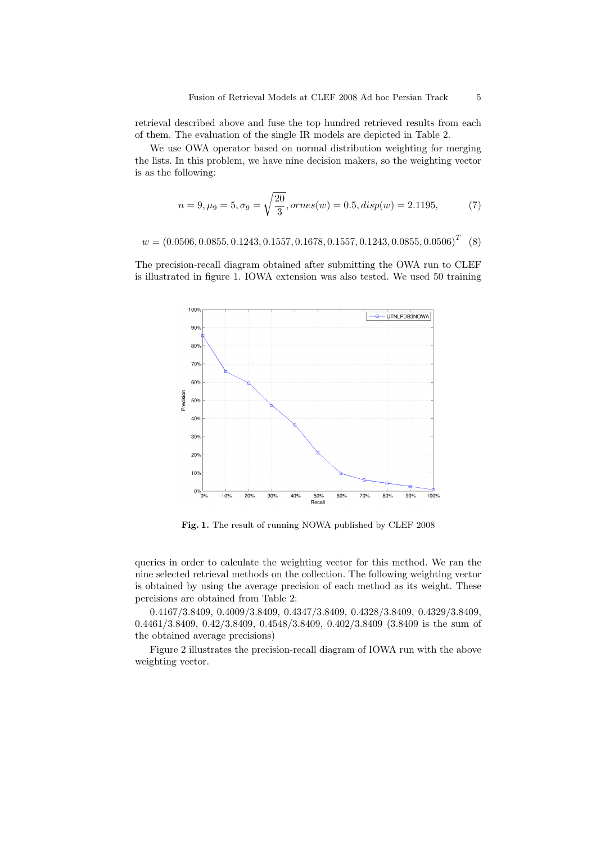retrieval described above and fuse the top hundred retrieved results from each of them. The evaluation of the single IR models are depicted in Table 2.

We use OWA operator based on normal distribution weighting for merging the lists. In this problem, we have nine decision makers, so the weighting vector is as the following:

$$
n = 9, \mu_9 = 5, \sigma_9 = \sqrt{\frac{20}{3}}, \text{ornes}(w) = 0.5, \text{disp}(w) = 2.1195,\tag{7}
$$

 $w = (0.0506, 0.0855, 0.1243, 0.1557, 0.1678, 0.1557, 0.1243, 0.0855, 0.0506)^T$  (8)

The precision-recall diagram obtained after submitting the OWA run to CLEF is illustrated in figure 1. IOWA extension was also tested. We used 50 training



Fig. 1. The result of running NOWA published by CLEF 2008

queries in order to calculate the weighting vector for this method. We ran the nine selected retrieval methods on the collection. The following weighting vector is obtained by using the average precision of each method as its weight. These percisions are obtained from Table 2:

0.4167/3.8409, 0.4009/3.8409, 0.4347/3.8409, 0.4328/3.8409, 0.4329/3.8409, 0.4461/3.8409, 0.42/3.8409, 0.4548/3.8409, 0.402/3.8409 (3.8409 is the sum of the obtained average precisions)

Figure 2 illustrates the precision-recall diagram of IOWA run with the above weighting vector.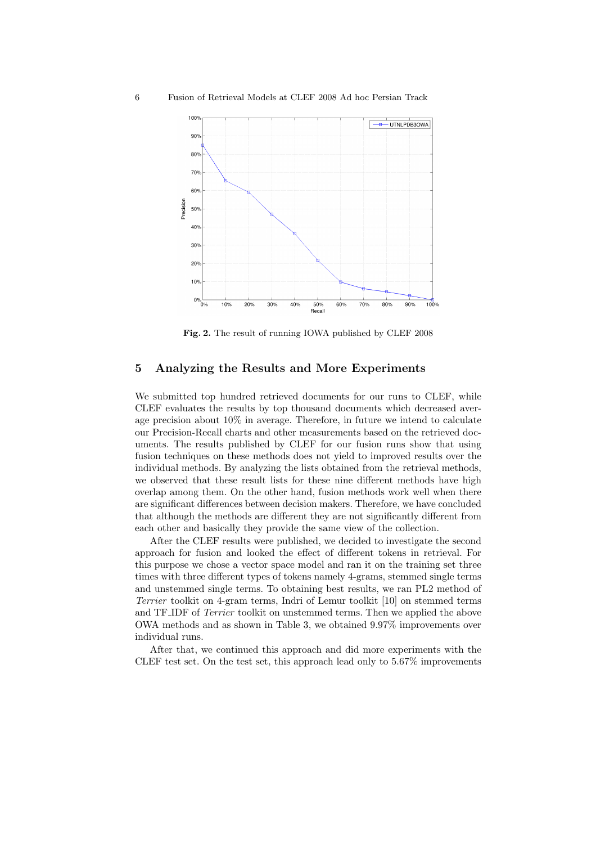

Fig. 2. The result of running IOWA published by CLEF 2008

## 5 Analyzing the Results and More Experiments

We submitted top hundred retrieved documents for our runs to CLEF, while CLEF evaluates the results by top thousand documents which decreased average precision about 10% in average. Therefore, in future we intend to calculate our Precision-Recall charts and other measurements based on the retrieved documents. The results published by CLEF for our fusion runs show that using fusion techniques on these methods does not yield to improved results over the individual methods. By analyzing the lists obtained from the retrieval methods, we observed that these result lists for these nine different methods have high overlap among them. On the other hand, fusion methods work well when there are significant differences between decision makers. Therefore, we have concluded that although the methods are different they are not significantly different from each other and basically they provide the same view of the collection.

After the CLEF results were published, we decided to investigate the second approach for fusion and looked the effect of different tokens in retrieval. For this purpose we chose a vector space model and ran it on the training set three times with three different types of tokens namely 4-grams, stemmed single terms and unstemmed single terms. To obtaining best results, we ran PL2 method of Terrier toolkit on 4-gram terms, Indri of Lemur toolkit [10] on stemmed terms and TF IDF of Terrier toolkit on unstemmed terms. Then we applied the above OWA methods and as shown in Table 3, we obtained 9.97% improvements over individual runs.

After that, we continued this approach and did more experiments with the CLEF test set. On the test set, this approach lead only to 5.67% improvements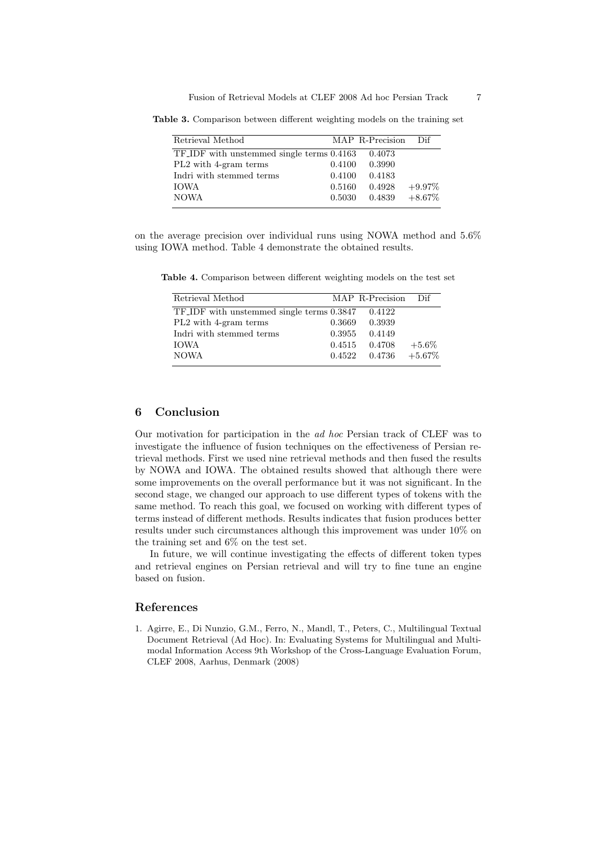Fusion of Retrieval Models at CLEF 2008 Ad hoc Persian Track 7

Table 3. Comparison between different weighting models on the training set

| Retrieval Method                          |        | MAP R-Precision | Dif       |
|-------------------------------------------|--------|-----------------|-----------|
| TF_IDF with unstemmed single terms 0.4163 |        | 0.4073          |           |
| PL2 with 4-gram terms                     | 0.4100 | 0.3990          |           |
| Indri with stemmed terms                  | 0.4100 | 0.4183          |           |
| <b>IOWA</b>                               | 0.5160 | 0.4928          | $+9.97\%$ |
| <b>NOWA</b>                               | 0.5030 | 0.4839          | $+8.67\%$ |

on the average precision over individual runs using NOWA method and 5.6% using IOWA method. Table 4 demonstrate the obtained results.

Table 4. Comparison between different weighting models on the test set

| Retrieval Method                          |        | MAP R-Precision | Dif       |
|-------------------------------------------|--------|-----------------|-----------|
| TF_IDF with unstemmed single terms 0.3847 |        | 0.4122          |           |
| PL2 with 4-gram terms                     | 0.3669 | 0.3939          |           |
| Indri with stemmed terms                  | 0.3955 | 0.4149          |           |
| IOWA                                      | 0.4515 | 0.4708          | $+5.6\%$  |
| <b>NOWA</b>                               | 0.4522 | 0.4736          | $+5.67\%$ |

# 6 Conclusion

Our motivation for participation in the ad hoc Persian track of CLEF was to investigate the influence of fusion techniques on the effectiveness of Persian retrieval methods. First we used nine retrieval methods and then fused the results by NOWA and IOWA. The obtained results showed that although there were some improvements on the overall performance but it was not significant. In the second stage, we changed our approach to use different types of tokens with the same method. To reach this goal, we focused on working with different types of terms instead of different methods. Results indicates that fusion produces better results under such circumstances although this improvement was under 10% on the training set and 6% on the test set.

In future, we will continue investigating the effects of different token types and retrieval engines on Persian retrieval and will try to fine tune an engine based on fusion.

### References

1. Agirre, E., Di Nunzio, G.M., Ferro, N., Mandl, T., Peters, C., Multilingual Textual Document Retrieval (Ad Hoc). In: Evaluating Systems for Multilingual and Multimodal Information Access 9th Workshop of the Cross-Language Evaluation Forum, CLEF 2008, Aarhus, Denmark (2008)